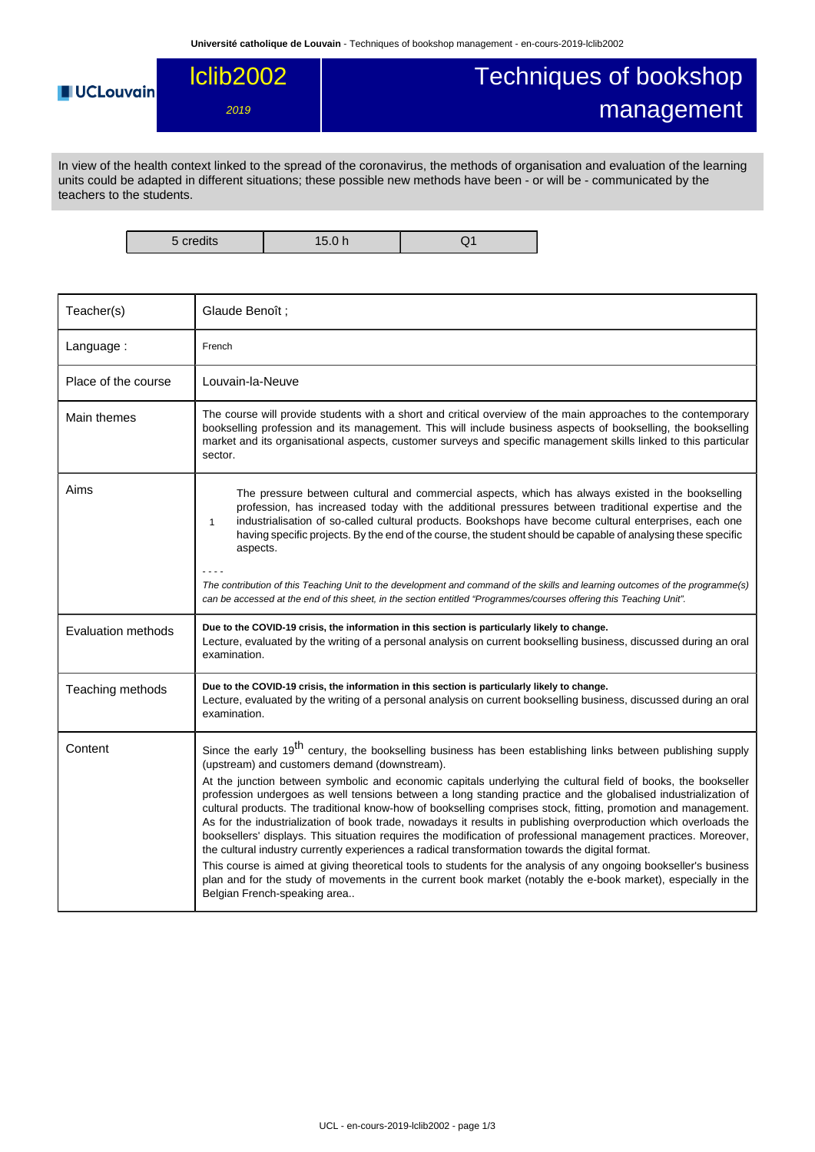## Techniques of bookshop lclib2002 **UCLouvain** management 2019

In view of the health context linked to the spread of the coronavirus, the methods of organisation and evaluation of the learning units could be adapted in different situations; these possible new methods have been - or will be - communicated by the teachers to the students.

5 credits 15.0 h Q1

| Teacher(s)          | Glaude Benoît;                                                                                                                                                                                                                                                                                                                                                                                                                                                                                                                                                                                                                                                                                                                                                                                                                                                                                                                                                                                                                                                                                                                                   |
|---------------------|--------------------------------------------------------------------------------------------------------------------------------------------------------------------------------------------------------------------------------------------------------------------------------------------------------------------------------------------------------------------------------------------------------------------------------------------------------------------------------------------------------------------------------------------------------------------------------------------------------------------------------------------------------------------------------------------------------------------------------------------------------------------------------------------------------------------------------------------------------------------------------------------------------------------------------------------------------------------------------------------------------------------------------------------------------------------------------------------------------------------------------------------------|
| Language:           | French                                                                                                                                                                                                                                                                                                                                                                                                                                                                                                                                                                                                                                                                                                                                                                                                                                                                                                                                                                                                                                                                                                                                           |
| Place of the course | Louvain-la-Neuve                                                                                                                                                                                                                                                                                                                                                                                                                                                                                                                                                                                                                                                                                                                                                                                                                                                                                                                                                                                                                                                                                                                                 |
| Main themes         | The course will provide students with a short and critical overview of the main approaches to the contemporary<br>bookselling profession and its management. This will include business aspects of bookselling, the bookselling<br>market and its organisational aspects, customer surveys and specific management skills linked to this particular<br>sector.                                                                                                                                                                                                                                                                                                                                                                                                                                                                                                                                                                                                                                                                                                                                                                                   |
| Aims                | The pressure between cultural and commercial aspects, which has always existed in the bookselling<br>profession, has increased today with the additional pressures between traditional expertise and the<br>industrialisation of so-called cultural products. Bookshops have become cultural enterprises, each one<br>$\mathbf{1}$<br>having specific projects. By the end of the course, the student should be capable of analysing these specific<br>aspects.                                                                                                                                                                                                                                                                                                                                                                                                                                                                                                                                                                                                                                                                                  |
|                     | The contribution of this Teaching Unit to the development and command of the skills and learning outcomes of the programme(s)<br>can be accessed at the end of this sheet, in the section entitled "Programmes/courses offering this Teaching Unit".                                                                                                                                                                                                                                                                                                                                                                                                                                                                                                                                                                                                                                                                                                                                                                                                                                                                                             |
| Evaluation methods  | Due to the COVID-19 crisis, the information in this section is particularly likely to change.<br>Lecture, evaluated by the writing of a personal analysis on current bookselling business, discussed during an oral<br>examination.                                                                                                                                                                                                                                                                                                                                                                                                                                                                                                                                                                                                                                                                                                                                                                                                                                                                                                              |
| Teaching methods    | Due to the COVID-19 crisis, the information in this section is particularly likely to change.<br>Lecture, evaluated by the writing of a personal analysis on current bookselling business, discussed during an oral<br>examination.                                                                                                                                                                                                                                                                                                                                                                                                                                                                                                                                                                                                                                                                                                                                                                                                                                                                                                              |
| Content             | Since the early 19 <sup>th</sup> century, the bookselling business has been establishing links between publishing supply<br>(upstream) and customers demand (downstream).<br>At the junction between symbolic and economic capitals underlying the cultural field of books, the bookseller<br>profession undergoes as well tensions between a long standing practice and the globalised industrialization of<br>cultural products. The traditional know-how of bookselling comprises stock, fitting, promotion and management.<br>As for the industrialization of book trade, nowadays it results in publishing overproduction which overloads the<br>booksellers' displays. This situation requires the modification of professional management practices. Moreover,<br>the cultural industry currently experiences a radical transformation towards the digital format.<br>This course is aimed at giving theoretical tools to students for the analysis of any ongoing bookseller's business<br>plan and for the study of movements in the current book market (notably the e-book market), especially in the<br>Belgian French-speaking area |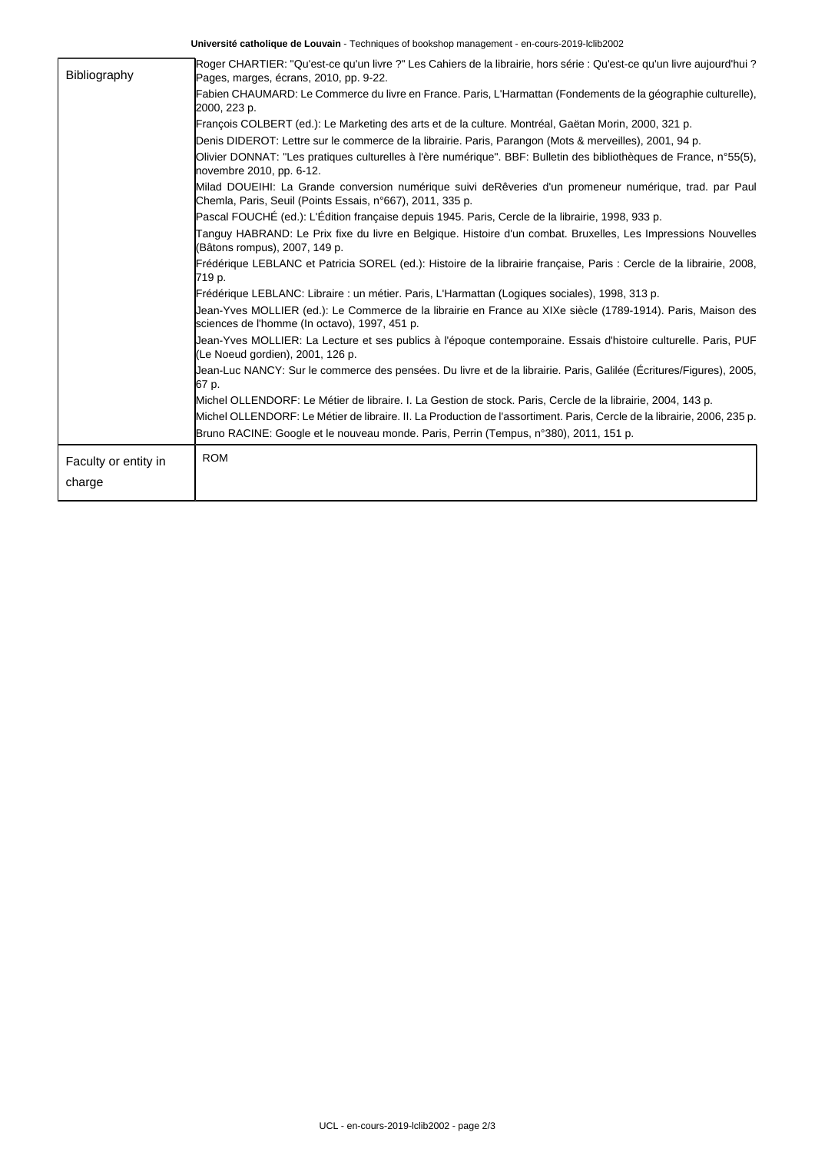**Université catholique de Louvain** - Techniques of bookshop management - en-cours-2019-lclib2002

| Bibliography         | Roger CHARTIER: "Qu'est-ce qu'un livre ?" Les Cahiers de la librairie, hors série : Qu'est-ce qu'un livre aujourd'hui ?<br>Pages, marges, écrans, 2010, pp. 9-22.    |  |  |  |  |
|----------------------|----------------------------------------------------------------------------------------------------------------------------------------------------------------------|--|--|--|--|
|                      | Fabien CHAUMARD: Le Commerce du livre en France. Paris, L'Harmattan (Fondements de la géographie culturelle),<br>2000, 223 p.                                        |  |  |  |  |
|                      | François COLBERT (ed.): Le Marketing des arts et de la culture. Montréal, Gaëtan Morin, 2000, 321 p.                                                                 |  |  |  |  |
|                      | Denis DIDEROT: Lettre sur le commerce de la librairie. Paris, Parangon (Mots & merveilles), 2001, 94 p.                                                              |  |  |  |  |
|                      | Olivier DONNAT: "Les pratiques culturelles à l'ère numérique". BBF: Bulletin des bibliothèques de France, n°55(5),<br>novembre 2010, pp. 6-12.                       |  |  |  |  |
|                      | Milad DOUEIHI: La Grande conversion numérique suivi deRêveries d'un promeneur numérique, trad. par Paul<br>Chemla, Paris, Seuil (Points Essais, n°667), 2011, 335 p. |  |  |  |  |
|                      | Pascal FOUCHÉ (ed.): L'Édition française depuis 1945. Paris, Cercle de la librairie, 1998, 933 p.                                                                    |  |  |  |  |
|                      | Tanguy HABRAND: Le Prix fixe du livre en Belgique. Histoire d'un combat. Bruxelles, Les Impressions Nouvelles<br>(Bâtons rompus), 2007, 149 p.                       |  |  |  |  |
|                      | Frédérique LEBLANC et Patricia SOREL (ed.): Histoire de la librairie française, Paris : Cercle de la librairie, 2008,<br>719 p.                                      |  |  |  |  |
|                      | Frédérique LEBLANC: Libraire : un métier. Paris, L'Harmattan (Logiques sociales), 1998, 313 p.                                                                       |  |  |  |  |
|                      | Jean-Yves MOLLIER (ed.): Le Commerce de la librairie en France au XIXe siècle (1789-1914). Paris, Maison des<br>sciences de l'homme (In octavo), 1997, 451 p.        |  |  |  |  |
|                      | Jean-Yves MOLLIER: La Lecture et ses publics à l'époque contemporaine. Essais d'histoire culturelle. Paris, PUF<br>(Le Noeud gordien), 2001, 126 p.                  |  |  |  |  |
|                      | Uean-Luc NANCY: Sur le commerce des pensées. Du livre et de la librairie. Paris, Galilée (Écritures/Figures), 2005,<br>67 p.                                         |  |  |  |  |
|                      | Michel OLLENDORF: Le Métier de libraire. I. La Gestion de stock. Paris, Cercle de la librairie, 2004, 143 p.                                                         |  |  |  |  |
|                      | Michel OLLENDORF: Le Métier de libraire. Il. La Production de l'assortiment. Paris, Cercle de la librairie, 2006, 235 p.                                             |  |  |  |  |
|                      | Bruno RACINE: Google et le nouveau monde. Paris, Perrin (Tempus, n°380), 2011, 151 p.                                                                                |  |  |  |  |
| Faculty or entity in | <b>ROM</b>                                                                                                                                                           |  |  |  |  |
|                      |                                                                                                                                                                      |  |  |  |  |
| charge               |                                                                                                                                                                      |  |  |  |  |